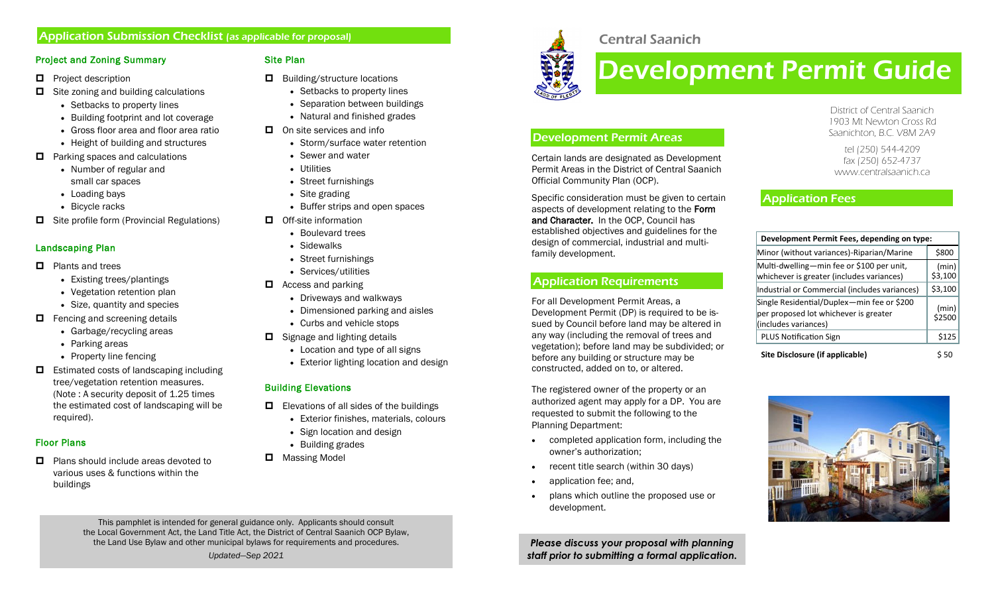# Application Submission Checklist (as applicable for proposal)

#### Project and Zoning Summary

- $\Box$  Project description
- $\Box$  Site zoning and building calculations
	- Setbacks to property lines
	- Building footprint and lot coverage
	- Gross floor area and floor area ratio
	- Height of building and structures
- $\Box$  Parking spaces and calculations
	- Number of regular and small car spaces
	- Loading bays
	- Bicycle racks
- $\Box$  Site profile form (Provincial Regulations)

## Landscaping Plan

- $\Box$  Plants and trees
	- Existing trees/plantings
	- Vegetation retention plan
	- Size, quantity and species
- $\Box$  Fencing and screening details
	- Garbage/recycling areas
	- Parking areas
	- Property line fencing
- $\Box$  Estimated costs of landscaping including tree/vegetation retention measures. (Note : A security deposit of 1.25 times the estimated cost of landscaping will be required).

## Floor Plans

 $\Box$  Plans should include areas devoted to various uses & functions within the buildings

# Site Plan

- $\Box$  Building/structure locations
	- Setbacks to property lines
	- Separation between buildings
	- Natural and finished grades
- $\Box$  On site services and info
	- Storm/surface water retention
	- Sewer and water
	- Utilities
	- Street furnishings
	- Site grading
	- Buffer strips and open spaces
- $\Box$  Off-site information
	- Boulevard trees
	- Sidewalks
	- Street furnishings
	- Services/utilities
- $\Box$  Access and parking
	- Driveways and walkways
	- Dimensioned parking and aisles
	- Curbs and vehicle stops
- $\Box$  Signage and lighting details
	- Location and type of all signs
	- Exterior lighting location and design

# Building Elevations

- $\Box$  Elevations of all sides of the buildings
	- Exterior finishes, materials, colours
	- Sign location and design
	- Building grades
- **D** Massing Model

# Central Saanich

Certain lands are designated as Development Permit Areas in the District of Central Saanich

Specific consideration must be given to certain aspects of development relating to the Form and Character. In the OCP, Council has established objectives and guidelines for the design of commercial, industrial and multi-

# Development Permit Guide

District of Central Saanich 1903 Mt Newton Cross Rd Saanichton, B.C. V8M 2A9

tel (250) 544-4209 fax (250) 652-4737 www.centralsaanich.ca

# Application Fees

| Development Permit Fees, depending on type:                                                                 |                  |
|-------------------------------------------------------------------------------------------------------------|------------------|
| Minor (without variances)-Riparian/Marine                                                                   | \$800            |
| Multi-dwelling-min fee or \$100 per unit,<br>whichever is greater (includes variances)                      | (min)<br>\$3,100 |
| Industrial or Commercial (includes variances)                                                               | \$3,100          |
| Single Residential/Duplex-min fee or \$200<br>per proposed lot whichever is greater<br>(includes variances) | (min)<br>\$2500  |
| <b>PLUS Notification Sign</b>                                                                               | \$125            |
| Site Disclosure (if applicable)                                                                             | 50               |



This pamphlet is intended for general guidance only. Applicants should consult the Local Government Act, the Land Title Act, the District of Central Saanich OCP Bylaw, the Land Use Bylaw and other municipal bylaws for requirements and procedures.

*Updated—Sep 2021*

Official Community Plan (OCP).

Development Permit Areas

For all Development Permit Areas, a

Application Requirements

Development Permit (DP) is required to be issued by Council before land may be altered in any way (including the removal of trees and vegetation); before land may be subdivided; or before any building or structure may be constructed, added on to, or altered.

The registered owner of the property or an authorized agent may apply for a DP. You are requested to submit the following to the

completed application form, including the

plans which outline the proposed use or

*Please discuss your proposal with planning staff prior to submitting a formal application.*

recent title search (within 30 days)



family development.

Planning Department:

development.

owner's authorization;

application fee; and,